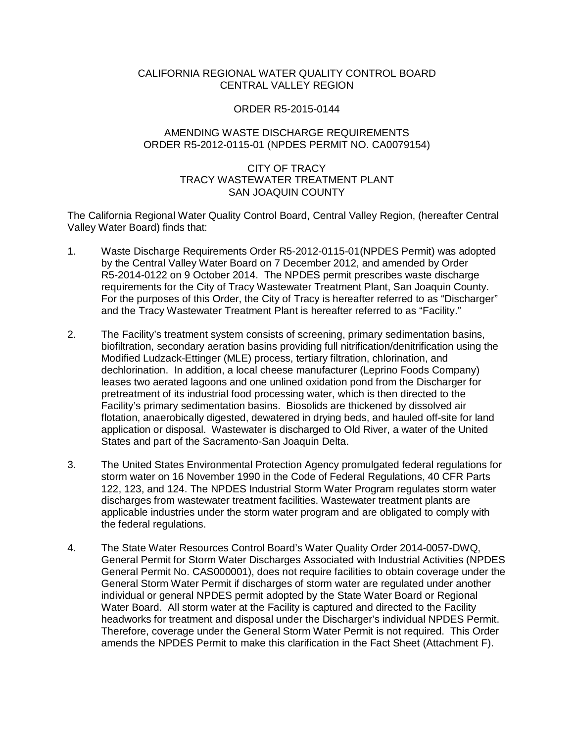## CALIFORNIA REGIONAL WATER QUALITY CONTROL BOARD CENTRAL VALLEY REGION

#### ORDER R5-2015-0144

# AMENDING WASTE DISCHARGE REQUIREMENTS ORDER R5-2012-0115-01 (NPDES PERMIT NO. CA0079154)

## CITY OF TRACY TRACY WASTEWATER TREATMENT PLANT SAN JOAQUIN COUNTY

The California Regional Water Quality Control Board, Central Valley Region, (hereafter Central Valley Water Board) finds that:

- 1. Waste Discharge Requirements Order R5-2012-0115-01(NPDES Permit) was adopted by the Central Valley Water Board on 7 December 2012, and amended by Order R5-2014-0122 on 9 October 2014. The NPDES permit prescribes waste discharge requirements for the City of Tracy Wastewater Treatment Plant, San Joaquin County. For the purposes of this Order, the City of Tracy is hereafter referred to as "Discharger" and the Tracy Wastewater Treatment Plant is hereafter referred to as "Facility."
- 2. The Facility's treatment system consists of screening, primary sedimentation basins, biofiltration, secondary aeration basins providing full nitrification/denitrification using the Modified Ludzack-Ettinger (MLE) process, tertiary filtration, chlorination, and dechlorination. In addition, a local cheese manufacturer (Leprino Foods Company) leases two aerated lagoons and one unlined oxidation pond from the Discharger for pretreatment of its industrial food processing water, which is then directed to the Facility's primary sedimentation basins. Biosolids are thickened by dissolved air flotation, anaerobically digested, dewatered in drying beds, and hauled off-site for land application or disposal. Wastewater is discharged to Old River, a water of the United States and part of the Sacramento-San Joaquin Delta.
- 3. The United States Environmental Protection Agency promulgated federal regulations for storm water on 16 November 1990 in the Code of Federal Regulations, 40 CFR Parts 122, 123, and 124. The NPDES Industrial Storm Water Program regulates storm water discharges from wastewater treatment facilities. Wastewater treatment plants are applicable industries under the storm water program and are obligated to comply with the federal regulations.
- 4. The State Water Resources Control Board's Water Quality Order 2014-0057-DWQ, General Permit for Storm Water Discharges Associated with Industrial Activities (NPDES General Permit No. CAS000001), does not require facilities to obtain coverage under the General Storm Water Permit if discharges of storm water are regulated under another individual or general NPDES permit adopted by the State Water Board or Regional Water Board. All storm water at the Facility is captured and directed to the Facility headworks for treatment and disposal under the Discharger's individual NPDES Permit. Therefore, coverage under the General Storm Water Permit is not required. This Order amends the NPDES Permit to make this clarification in the Fact Sheet (Attachment F).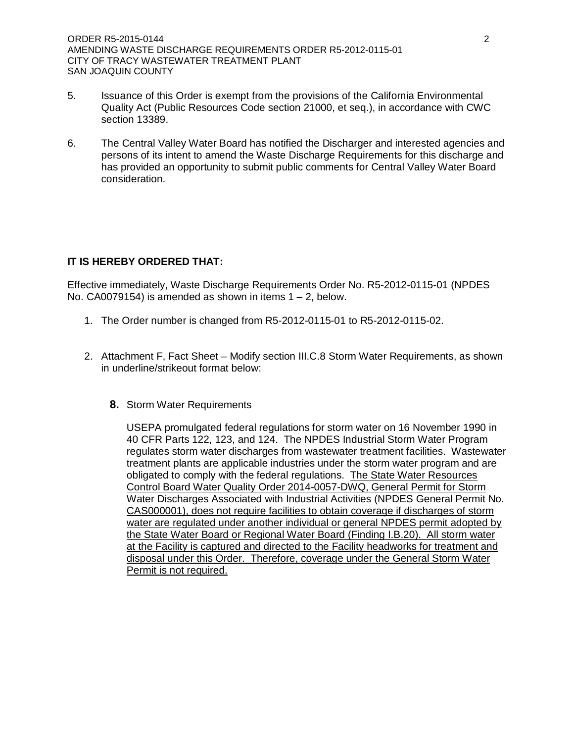- 5. Issuance of this Order is exempt from the provisions of the California Environmental Quality Act (Public Resources Code section 21000, et seq.), in accordance with CWC section 13389.
- 6. The Central Valley Water Board has notified the Discharger and interested agencies and persons of its intent to amend the Waste Discharge Requirements for this discharge and has provided an opportunity to submit public comments for Central Valley Water Board consideration.

## **IT IS HEREBY ORDERED THAT:**

Effective immediately, Waste Discharge Requirements Order No. R5-2012-0115-01 (NPDES No. CA0079154) is amended as shown in items  $1 - 2$ , below.

- 1. The Order number is changed from R5-2012-0115-01 to R5-2012-0115-02.
- 2. Attachment F, Fact Sheet Modify section III.C.8 Storm Water Requirements, as shown in underline/strikeout format below:
	- **8.** Storm Water Requirements

USEPA promulgated federal regulations for storm water on 16 November 1990 in 40 CFR Parts 122, 123, and 124. The NPDES Industrial Storm Water Program regulates storm water discharges from wastewater treatment facilities. Wastewater treatment plants are applicable industries under the storm water program and are obligated to comply with the federal regulations. The State Water Resources Control Board Water Quality Order 2014-0057-DWQ, General Permit for Storm Water Discharges Associated with Industrial Activities (NPDES General Permit No. CAS000001), does not require facilities to obtain coverage if discharges of storm water are regulated under another individual or general NPDES permit adopted by the State Water Board or Regional Water Board (Finding I.B.20). All storm water at the Facility is captured and directed to the Facility headworks for treatment and disposal under this Order. Therefore, coverage under the General Storm Water Permit is not required.